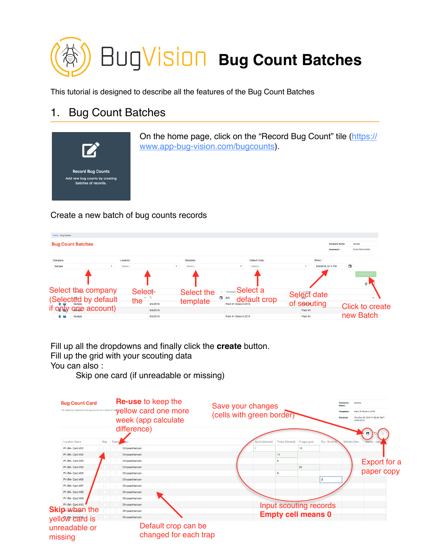

This tutorial is designed to describe all the features of the Bug Count Batches

## 1. Bug Count Batches



On the home page, click on the "Record Bug Count" tile [\(https://](https://www.app-bug-vision.com/bugcounts) [www.app-bug-vision.com/bugcounts](https://www.app-bug-vision.com/bugcounts)).

## Create a new batch of bug counts records



Fill up all the dropdowns and finally click the **create** button. Fill up the grid with your scouting data You can also :

Skip one card (if unreadable or missing)